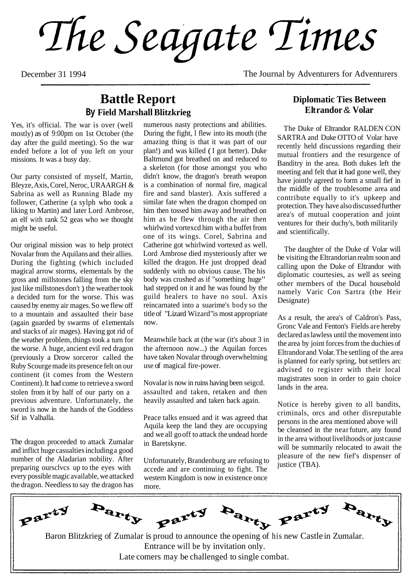The Seagate Times

December 31 1994 The Journal by Adventurers for Adventurers

### **Battle Report By Field Marshall Blitzkrieg**

Yes, it's official. The war is over (well mostly) as of 9:00pm on 1st October (the day after the guild meeting). So the war ended before a lot of you left on your missions. **It** was a busy day.

Our party consisted of myself, Martin, Bleyze, Axis, Corel, Neroc, URAARGH & Sabrina as well as Running Blade my follower, Catherine (a sylph who took a liking to Martin) and later Lord Ambrose, an elf with rank 52 geas who we thought might be useful.

Our original mission was to help protect Novalar from the Aquilans and their allies. During the fighting (which included magical arrow storms, elementals by the gross and millstones falling from the sky just like millstones don't ) the weather took a decided turn for the worse. This was caused by enemy air mages. So we flew off to a mountain and assaulted their base (again guarded by swarms of e1ementals and stacks of air mages). Having got rid of the weather problem, things took a turn for the worse. A huge, ancient evil red dragon (previously a Drow sorceror called the Ruby Scourge made its presence felt on our continent (it comes from the Western Continent). It had come to retrieve a sword stolen from it by half of our party on a previous adventure. Unfortunately, the sword is now in the hands of the Goddess Sif in Valhalla.

The dragon proceeded to attack Zumalar and inflict huge casualties including a good number of the Aladarian nobility. After preparing oursclvcs up to the eyes with every possible magic available, we attacked the dragon. Needless to say the dragon has

numerous nasty protections and abilities. During the fight, I flew into its mouth (the amazing thing is that it was part of our plan!) and was killed ( I got better). Duke Baltmund got breathed on and reduced to a skeleton (for those amongst you who didn't know, the dragon's breath weapon is a combination of normal fire, magical fire and sand blaster). Axis suffered a similar fate when the dragon chomped on him then tossed him away and breathed on him as he flew through the air then whirlwind vortexcd him with a buffet from one of its wings. Corel, Sabrina and Catherine got whirlwind vortexed as well. Lord Ambrose died mysteriously after we killed the dragon. He just dropped dead suddenly with no obvious cause. The his body was crushed as if "something huge" had stepped on it and he was found by the guild healers to have no soul. Axis reincarnated into a suarime's body so the title of "Lizard Wizard" is most appropriate now.

Meanwhile back at (the war (it's about 3 in the afternoon now...) the Aquilan forces have taken Novalar through overwhelming use of magical fire-power.

Novalar is now in ruins having been seigcd. assaulted and taken, retaken and then heavily assaulted and taken back again.

Peace talks ensued and it was agreed that Aquila keep the land they are occupying and we all go off to attack the undead horde in Baretskyne.

Unfortunately, Brandenburg are refusing to accede and are continuing to fight. The western Kingdom is now in existence once more.

#### **Diplomatic Ties Between Elt randor** & **Volar**

The Duke of EItrandor RALDEN CON SARTRA and Duke OTTO of Volar have recently held discussions regarding their mutual frontiers and the resurgence of Banditry in the area. Both dukes left the meeting and felt that **it** had gone well, they have jointly agreed to form a small fief in the middle of the troublesome area and contribute equally to it's upkeep and protection. They have also discussed further area's of mutual cooperation and joint ventures for their duchy's, both militarily and scientifically.

The daughter of the Duke of Volar will be visiting the Eltrandorian realm soon and calling upon the Duke of Eltrandor with diplomatic courtesies, as well as seeing other members of the Ducal household namely Varic Con Sartra (the Heir Designate)

As a result, the area's of Caldron's Pass, Gronc Vale and Fenton's Fields are hereby declared as lawless until the movement into the area by joint forces from the duchies of Eltrandor and Volar. The settling of the area is planned for early spring, but settlers arc advised to register with their local magistrates soon in order to gain choice lands in the area.

Notice is hereby given to all bandits, criminals, orcs and other disreputable persons in the area mentioned above will be cleansed in the nearfuture, any found in the area without livelihoods or just cause will be summarily relocated to await the pleasure of the new fief's dispenser of justice (TBA).

**Party Party** Party Party Party  $P^{\alpha^1}$ Baron Blitzkrieg of Zumalar is proud to announce the opening of his new Castle in Zumalar.

Entrance will be by invitation only. Late comers may be challenged to single combat.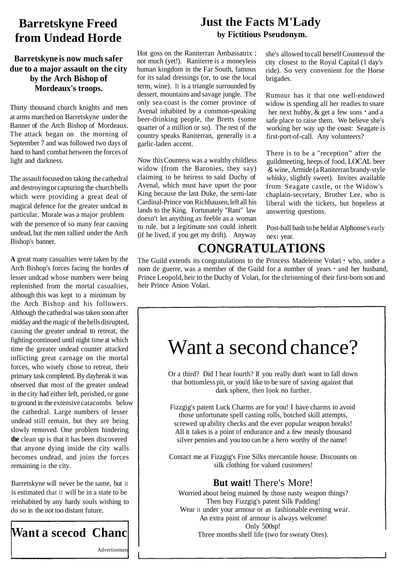## **Barretskyne Freed from Undead Horde**

#### **Barretskyne is now much safer due to a major assault on the city by the Arch Bishop of Mordeaux's troops.**

Thirty thousand church knights and men at arms marched on Barretskyne under the Banner of the Arch Bishop of Mordeaux. The attack began on the morning of September 7 and was followed two days of hand to hand combat between the forces of light and darkness.

The assault focused on taking the cathedral and destroying or capturing the church bells which were providing a great deal of magical defence for the greater undcad in particular. Morale was a major problem with the presence of so many fear causing undead, but the men rallied under the Arch Bishop's banner.

**A** great many casualties were taken by the Arch Bishop's forces facing the hordes of lesser undcad whose numbers were being replenished from the mortal casualties, although this was kept to a minimum by the Arch Bishop and his followers. Although the cathedral was taken soon after midday and the magic of the bells disrupted, causing the greater undead to retreat, the fighting continued until night time at which time the greater undead counter attacked inflicting great carnage on the mortal forces, who wisely chose to retreat, their primary task completed. By daybreak it was observed that most of the greater undead in the city had either left, perished, or gone to ground in the extensive catacombs below the cathedral. Large numbers of lesser undead still remain, but they are being slowly removed. One problem hindering **the** clean up is that it has been discovered that anyone dying inside the city walls becomes undead, and joins the forces remaining in the city.

Barretskyne will never be the same, but it is estimated that it will be in a state to be reinhabited by any hardy souls wishing to do so in the not too distant future.



### **Just the Facts M'Lady by Fictitious Pseudonym.**

Hot goss on the Raniterran Ambassatrix : not much (yet!). Raniterre is a moneyless human kingdom in the Far South, famous for its salad dressings (or, to use the local term, wine). It is a triangle surrounded by dessert, mountains and savage jungle. The only sea-coast is the corner province of Avenal inhabited by a common-speaking beer-drinking people, the Bretts (some quarter of a million or so). The rest of the country speaks Raniterran, generally in a garlic-laden accent.

Now this Countess was a wealthy childless widow (from the Baronies, they say) claiming to be heiress to said Duchy of Avenal, which must have upset the poor King because the last Duke, the semi-late Cardinal-Prince von Richhausen, left all his lands to the King. Fortunately "Rani" law doesn't let anything as feeble as a woman to rule. but a legitimate son could inherit (if he lived, if you get my drift). Anyway

she's allowed to call herself Countess of the city closest to the Royal Capital (1 day's ride). So very convenient for the Horse brigades.

Rumour has it that one well-endowed widow is spending all her readies to snare her next hubby, & get a few sons  $\cdot$  and a safe place to raise them. We believe she's working her way up the coast: Seagate is first-port-of-call. Any volunteers?

There is to be a "reception" after the guildmeeting, heeps of food, LOCAL beer & wine, Armide (a Raniterran brandy-sty le whisky, slightly sweet). Invites available from Seagate castle, or the Widow's chaplain-secretary, Brother Lee, who is liberal with the tickets, but hopeless at answering questions.

Post-ball bash to be held at Alphonse's early next year.

## **CONGRATULATIONS**

The Guild extends its congratulations to the Princess Madeleine Volari - who, under a nom de guerre, was a member of the Guild for a number of years - and her husband, Prince Leopold, heir to the Duchy of Volari, for the christening of their first-born son and heir Prince Anion Volari.

# Want a second chance?

Or a third? Did I hear fourth? If you really don't want to fall down that bottomless pit, or you'd like to be sure of saving against that dark sphere, then look no further.

Fizzgig's patent Luck Charms are for you! I have charms to avoid those unfortunate spell casting rolls, botched skill attempts, screwed up ability checks and the ever popular weapon breaks! All it takes is a point of endurance and a few measly thousand silver pennies and you too can be a hero worthy of the name!

Contact me at Fizzgig's Fine Silks mercantile house. Discounts on silk clothing for valued customers!

#### **But wait!** There's More!

Worried about being maimed by those nasty weapon things? Then buy Fizzgig's patent Silk Padding! Wear it under your armour or as fashionable evening wear. An extra point of armour is always welcome! Only 500sp! Three months shelf life (two for sweaty Ores).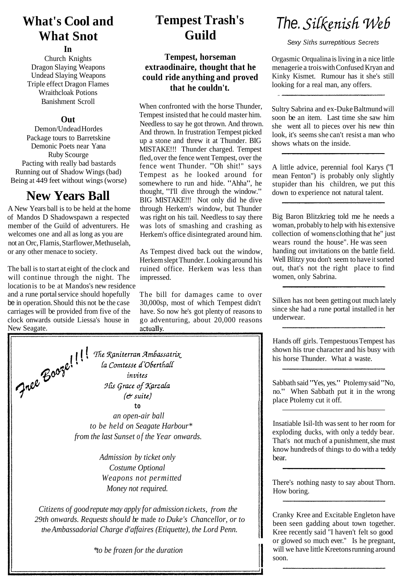## **What's Cool and What Snot**

#### **In**

Church Knights Dragon Slaying Weapons Undead Slaying Weapons Triple effect Dragon Flames Wraithcloak Potions Banishment Scroll

#### **Out**

Demon/Undead Hordes Package tours to Barretskine Demonic Poets near Yana Ruby Scourge Pacting with really bad bastards Running out of Shadow Wings (bad) Being at 449 feet without wings (worse)

### **New Years Ball**

A New Years ball is to be held at the home of Mandos D Shadowspawn a respected member of the Guild of adventurers. He welcomes one and all as long as you are not an Orc, Flamis, Starflower, Methuselah, or any other menace to society.

The ball is to start at eight of the clock and will continue through the night. The location is to be at Mandos's new residence and a rune portal service should hopefully be in operation. Should this not be the case carriages will be provided from five of the clock onwards outside Liessa's house in

## **Tempest Trash's Guild**

#### **Tempest, horseman extraodinaire, thought that he could ride anything and proved that he couldn't.**

When confronted with the horse Thunder, Tempest insisted that he could master him. Needless to say he got thrown. And thrown. And thrown. In frustration Tempest picked up a stone and threw it at Thunder. BIG MISTAKE!!! Thunder charged. Tempest fled, over the fence went Tempest, over the fence went Thunder. "Oh shit!" says Tempest as he looked around for somewhere to run and hide. "Ahha", he thought, "I'll dive through the window." BIG MISTAKE!!! Not only did he dive through Herkem's window, but Thunder was right on his tail. Needless to say there was lots of smashing and crashing as Herkem's office disintegrated around him.

As Tempest dived back out the window, Herkem slept Thunder. Looking around his ruined office. Herkem was less than impressed.

The bill for damages came to over 30,000sp, most of which Tempest didn't have. So now he's got plenty of reasons to go adventuring, about 20,000 reasons



*Admission by ticket only Costume Optional Weapons not permitted Money not required.* 

*Citizens of good repute may apply for admission tickets, from the 29th onwards. Requests should be* made *to Duke's Chancellor, or to*  the *Ambassadorial Charge d'affaires (Etiquette), the Lord Penn.*

*\*to be frozen for the duration* 

# The. Silkenish Web

Sexy *Siths* surreptitious Secrets

Orgasmic Orqualina is living in a nice little menagerie a trois with Confused Kryan and Kinky Kismet. Rumour has it she's still looking for a real man, any offers.

Sultry Sabrina and ex-Duke Baltmund will soon be an item. Last time she saw him she went all to pieces over his new thin look, it's seems she can't resist a man who shows whats on the inside.

A little advice, perennial fool Karys ("I mean Fenton") is probably only slightly stupider than his children, we put this down to experience not natural talent.

Big Baron Blitzkrieg told me he needs a woman, probably to help with his extensive collection of womens clothing that he" just wears round the house". He was seen handing out invitations on the battle field. Well Blitzy you don't seem to have it sorted out, that's not the right place to find women, only Sabrina.

Silken has not been getting out much lately since she had a rune portal installed in her underwear.

Hands off girls. Tempestuous Tempest has shown his true character and his busy with his horse Thunder. What a waste.

Sabbath said "Yes, yes." Ptolemy said "No, no." When Sabbath put it in the wrong place Ptolemy cut it off.

Insatiable Isil-Ith was sent to her room for exploding ducks, with only a teddy bear. That's not much of a punishment, she must know hundreds of things to do with a teddy bear.

There's nothing nasty to say about Thorn. How boring.

Cranky Kree and Excitable Engleton have been seen gadding about town together. Kree recently said "I haven't felt so good or glowed so much ever." Is he pregnant, will we have little Kreetons running around soon.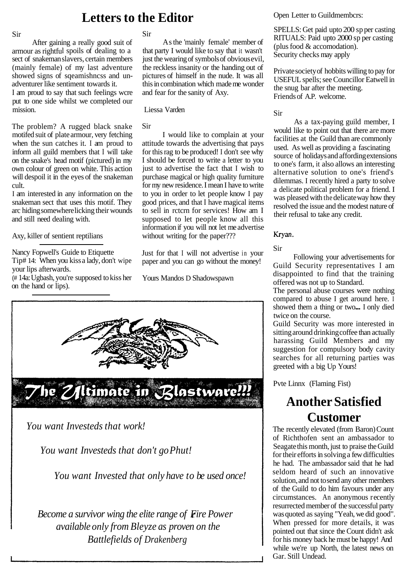#### Sir

After gaining a really good suit of armour as rightful spoils of dealing to a sect of snakeman slavers, certain members (mainly female) of my last adventure showed signs of sqeamishncss and unadventurer like sentiment towards it. I am proud to say that such feelings wcre

put to one side whilst we completed our mission.

The problem? A rugged black snake motifed suit of plate armour, very fetching when the sun catches it. I am proud to inform all guild members that I will take on the snake's head motif (pictured) in my own colour of green on white. This action will despoil it in the eyes of the snakeman cult.

I am interested in any information on the snakeman sect that uses this motif. They arc hiding somewhere licking their wounds and still need dealing with.

Axy, killer of sentient reptilians

Nancy Fopwell's Guide to Etiquette Tip# 14: When you kiss a lady, don't wipe your lips afterwards.

(# 14a: Ugbash, you're supposed to kiss her on the hand or lips).

### Sir

As the 'mainly female' member of that party I would like to say that it wasn't just the wearing of symbols of obvious evil, the reckless insanity or the handing out of pictures of himself in the nude. It was all this in combination which made me wonder and fear for the sanity of Axy.

Liessa Varden

#### Sir

I would like to complain at your attitude towards the advertising that pays for this rag to be produced! I don't see why I should be forced to write a letter to you just to advertise the fact that I wish to purchase magical or high quality furniture for my new residence. I mean I have to write to you in order to let people know I pay good prices, and that I have magical items to sell in rctcrn for services! How am I supposed to let people know all this information if you will not let me advertise without writing for the paper???

Just for that I will not advertise in your paper and you can go without the money!

Yours Mandos D Shadowspawn



*You want Investeds that work!* 

*You want Investeds that don't go Phut!* 

*You want Invested that only have to be used once!* 

*Become a survivor wing the elite range of Fire Power available only from Bleyze as proven on the Battlefields of Drakenberg* 

#### **Letters to the Editor** Open Letter to Guildmembcrs:

SPELLS: Get paid upto 200 sp per casting RITUALS: Paid upto 2000 sp per casting (plus food & accomodation). Security checks may apply

Private society of hobbits willing to pay for USEFUL spells; see Councillor Eatwell in the snug bar after the meeting. Friends of A.P. welcome.

#### Sir

As a tax-paying guild member, I would like to point out that there are more facilities at the Guild than are commonly used. As well as providing a fascinating source of holidays and affording extensions to one's farm, it also allows an interesting alternative solution to one's friend's dilemmas. I recently hired a party to solve a delicate political problem for a friend. I was pleased with the delicate way how they resolved the issue and the modest nature of their refusal to take any credit.

#### Kryan.

Sir

Following your advertisements for Guild Security representatives I am disappointed to find that the training offered was not up to Standard.

The personal abuse courses were nothing compared to abuse I get around here. I showed them a thing or two... I only died twice on the course.

Guild Security was more interested in sitting around drinking coffee than actually harassing Guild Members and my suggestion for compulsory body cavity searches for all returning parties was greeted with a big Up Yours!

Pvte Linnx (Flaming Fist)

## **Another Satisfied Customer**

The recently elevated (from Baron) Count of Richthofen sent an ambassador to Seagate this month, just to praise the Guild for their efforts in solving a few difficulties he had. The ambassador said that he had seldom heard of such an innovative solution, and not to send any other members of the Guild to do him favours under any circumstances. An anonymous recently resurrected member of the successful party was quoted as saying "Yeah, we did good". When pressed for more details, it was pointed out that since the Count didn't ask for his money back he must be happy! And while we're up North, the latest news on Gar. Still Undead.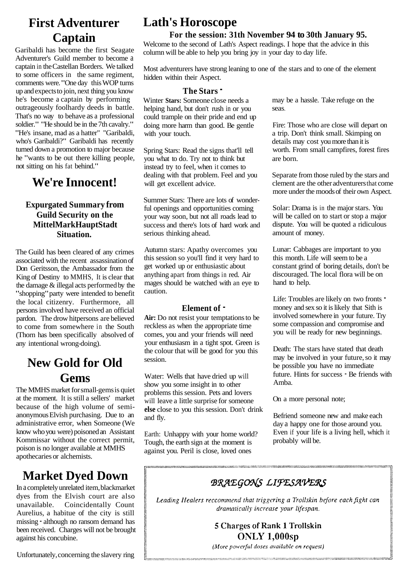## **First Adventurer Captain**

Garibaldi has become the first Seagate Adventurer's Guild member to become a captain in the Castellan Borders. We talked to some officers in the same regiment, comments were. "One day this WOP turns up and expects to join, next thing you know he's become a captain by performing outrageously foolhardy deeds in battle. That's no way to behave as a professional soldier." "He should be in the 7th cavalry." "He's insane, mad as a hatter" "Garibaldi, who's Garibaldi?" Garibaldi has recently turned down a promotion to major because he "wants to be out there killing people, not sitting on his fat behind."

### **We're Innocent!**

#### **Expurgated Summary from Guild Security on the MittelMarkHauptStadt Situation.**

The Guild has been cleared of any crimes associated with the recent assassination of Don Geritsson, the Ambassador from the King of Destiny to MMHS, It is clear that the damage & illegal acts performed by the "shopping" party were intended to benefit the local citizenry. Furthermore, all persons involved have received an official pardon. The drow hitpersons are believed to come from somewhere in the South (Thorn has been specifically absolved of any intentional wrong-doing).

## **New Gold for Old Gems**

The MMHS market for small-gems is quiet at the moment. It is still a sellers' market because of the high volume of semianonymous Elvish purchasing. Due to an administrative error, when Someone (We know who you were) poisoned an Assistant Kommissar without the correct permit, poison is no longer available at MMHS apothecaries or alchemists.

## **Market Dyed Down**

In a completely unrelated item, blackmarket dyes from the Elvish court are also<br>unavailable. Coincidentally Count Coincidentally Count Aurelius, a habitue of the city is still missing - although no ransom demand has been received. Charges will not be brought against his concubine.

**Lath's Horoscope** 

#### **For the session: 31th November 94 to 30th January 95.**

Welcome to the second of Lath's Aspect readings. I hope that the advice in this column will be able to help you bring joy in your day to day life.

Most adventurers have strong leaning to one of the stars and to one of the element hidden within their Aspect.

#### **The Stars** -

Winter **Stars:** Someone close needs a helping hand, but don't rush in or you could trample on their pride and end up doing more harm than good. Be gentle with your touch.

Spring Stars: Read the signs that'll tell you what to do. Try not to think but instead try to feel, when it comes to dealing with that problem. Feel and you will get excellent advice.

Summer Stars: There are lots of wonderful openings and opportunities coming your way soon, but not all roads lead to success and there's lots of hard work and serious thinking ahead.

Autumn stars: Apathy overcomes you this session so you'll find it very hard to get worked up or enthusiastic about anything apart from things in red. Air mages should be watched with an eye to caution.

#### **Element of** -

**Air:** Do not resist your temptations to be reckless as when the appropriate time comes, you and your friends will need your enthusiasm in a tight spot. Green is the colour that will be good for you this session.

Water: Wells that have dried up will show you some insight in to other problems this session. Pets and lovers will leave a little surprise for someone **else** close to you this session. Don't drink and fly.

Earth: Unhappy with your home world? Tough, the earth sign at the moment is against you. Peril is close, loved ones

may be a hassle. Take refuge on the seas.

Fire: Those who are close will depart on a trip. Don't think small. Skimping on details may cost you more than it is worth. From small campfires, forest fires are born.

Separate from those ruled by the stars and clement are the other adventurers that come more under the moods of their own Aspect.

Solar: Drama is in the major stars. You will be called on to start or stop a major dispute. You will be quoted a ridiculous amount of money.

Lunar: Cabbages are important to you this month. Life will seem to be a constant grind of boring details, don't be discouraged. The local flora will be on hand to help.

Life: Troubles are likely on two fronts  $\blacksquare$ money and sex so it is likely that Sith is involved somewhere in your future. Try some compassion and compromise and you will be ready for new beginnings.

Death: The stars have stated that death may be involved in your future, so it may be possible you have no immediate future. Hints for success - Be friends with Amba.

On a more personal note;

Befriend someone new and make each day a happy one for those around you. Even if your life is a living hell, which it probably will be.

### **BRAEGONS LIFESAVERS**

Leading Healers reccommend that triggering a Trollskin before each fight can dramatically increase your lifespan.

> 5 Charges of Rank 1 Trollskin ONLY 1,000sp

(More powerful doses available on request)

Unfortunately, concerning the slavery ring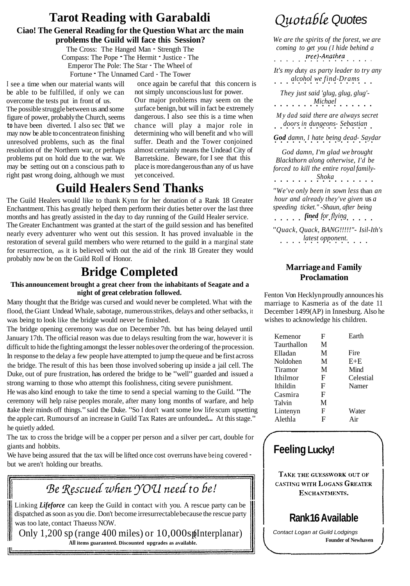#### **Tarot Reading with Garabaldi Ciao! The General Reading for the Question What arc the main problems the Guild will face this Session?**  The Cross: The Hanged Man - Strength The

Compass: The Pope - The Hermit - Justice - The Emperor The Pole: The Star - The Wheel of Fortune - The Unnamed Card - The Tower

The possible struggle between us and some figure of power, probably the Church, seems dangerous. I also see this is a time when **to** have been diverted. I also sec that we chance will play a major role in may now be able to concentrate on finishing determining who will benefit and who will unresolved problems, such as the final suffer. Death and the Tower conjoined resolution of the Northern war, or perhaps almost certainly means the Undead City of problems put on hold due to the war. We may be setting out on a conscious path to right past wrong doing, although we must vet conceived.

I see a time when our material wants will once again be careful that this concern is<br>be able to be fulfilled, if only we can not simply unconscious lust for power. be able to be fulfilled, if only we can not simply unconscious lust for power.<br>overcome the tests put in front of us. Our major problems may seem on the overcome the tests put in front of us. Our major problems may seem on the The possible struggle between us and some surface benign, but will in fact be extremely almost certainly means the Undead City of<br>Barretskine. Beware, for I see that this place is more dangerous than any of us have

### **Guild Healers Send Thanks**

The Guild Healers would like to thank Kynn for her donation of a Rank 18 Greater Enchantment. This has greatly helped them perform their duties better over the last three months and has greatly assisted in the day to day running of the Guild Healer service. The Greater Enchantment was granted at the start of the guild session and has benefited nearly every adventurer who went out this session. It has proved invaluable in the restoration of several guild members who were returned to the guild in a marginal state for resurrection, as it is believed with out the aid of the rink 18 Greater they would probably now be on the Guild Roll of Honor.

### **Bridge Completed**

#### **This announcement brought a great cheer from the inhabitants of Seagate and a night of great celebration followed.**

Many thought that the Bridge was cursed and would never be completed. What with the flood, the Giant Undead Whale, sabotage, numerous strikes, delays and other setbacks, it was being to look like the bridge would never be finished.

The bridge opening ceremony was due on December 7th. but has being delayed until January 17th. The official reason was due to delays resulting from the war, however it is difficult to hide the fighting amongst the lesser nobles over the ordering of the procession. In response to the delay a few people have attempted to jump the queue and be first across the bridge. The result of this has been those involved sobering up inside a jail cell. The Duke, out of pure frustration, has ordered the bridge to be "well" guarded and issued a strong warning to those who attempt this foolishness, citing severe punishment.

<sup>H</sup>e was also kind enough to take the time to send a special warning to the Guild. "The ceremony will help raise peoples morale, after many long months of warfare, and help take their minds off things." said the Duke. "So I don't want some low life scum upsetting the apple cart. Rumours of an increase in Guild Tax Rates are unfounded... At this stage." he quietly added.

The tax to cross the bridge will be a copper per person and a silver per cart, double for giants and hobbits.

We have being assured that the tax will be lifted once cost overruns have being covered but we aren't holding our breaths.

Be Rescued when YOU need to be!

Linking *Lifeforce* can keep the Guild in contact with you. A rescue party can be dispatched as soon as you die. Don't become irresurrectable because the rescue party was too late, contact Thaeuss NOW.

Only  $1,200$  sp (range 400 miles) or  $10,000$ s p(Interplanar) **All items guaranteed. Discounted upgrades as available.**

## Quotable Quotes

*We are the spirits of the forest, we are coming to get you (I hide behind a*   $tree)$ -Anathea

*It's my du*ty *as party leader to try any alcohol we find-Drams* 

*They just said 'glug, glug, glug'-*

*Michael* .................

*My dad said there are always secret doors in dungeons- Sebastian* .................

*God damn, I hate being dead- Saydar* .................

*God damn, I'm glad we brought Blackthorn along otherwise, I'd be*  forced to kill the entire royal family-

*Shoka* ................. *"We've only been in sown less* than *an hour and already they've given* us *a* 

*speeding ticket." -Shaun, after being fined for flying* 

*"Quack, Quack, BANG!!!!!"- Isil-Ith's latest opponent.* ...............

#### **Marriage and Family Proclamation**

Fenton Von Hecklyn proudly announces his marriage to Kasmeria as of the date 11 December 1499(AP) in Innesburg. Also he wishes to acknowledge his children.

| Kemenor     | F | Earth     |
|-------------|---|-----------|
| Taurthallon | M |           |
| Elladan     | M | Fire      |
| Noldohen    | М | $E + E$   |
| Tiramor     | M | Mind      |
| Ithilmor    | F | Celestial |
| Ithildin    | F | Namer     |
| Casmira     | F |           |
| Talvin      | M |           |
| Lintenyn    | F | Water     |
| Alethla     | F | Air       |

### **Feeling Lucky!**

TAKE THE GUESSWORK OUT OF CASTING WITH LOGANS GREATER ENCHANTMENTS.

## **Rank 16 Available**

Contact Logan at Guild Lodgings **Founder of Newhaven**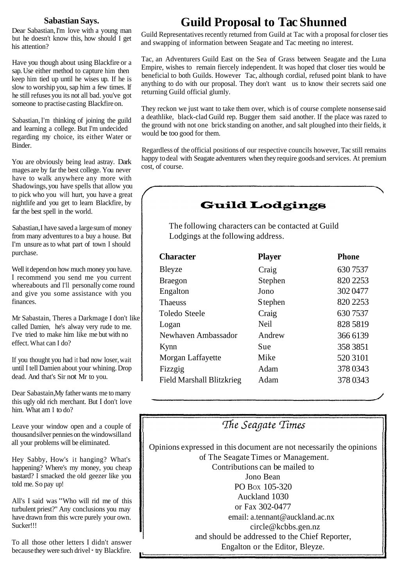#### **Sabastian Says.**

Dear Sabastian, I'm love with a young man but he doesn't know this, how should I get his attention?

Have you though about using Blackfire or a sap. Use either method to capture him then keep him tied up until he wises up. If he is slow to worship you, sap him a few times. If he still refuses you its not all bad. you've got someone to practise casting Blackfire on.

Sabastian, I'm thinking of joining the guild and learning a college. But I'm undecided regarding my choice, its either Water or Binder.

You are obviously being lead astray. Dark mages are by far the best college. You never have to walk anywhere any more with Shadowings, you have spells that allow you to pick who you will hurt, you have a great nightlife and you get to learn Blackfire, by far the best spell in the world.

Sabastian, I have saved a large sum of money from many adventures to a buy a house. But I'm unsure as to what part of town I should purchase.

Well it depend on how much money you have. I recommend you send me you current whereabouts and I'll personally come round and give you some assistance with you finances.

Mr Sabastain, Theres a Darkmage I don't like called Damien, he's alway very rude to me. I've tried to make him like me but with no effect. What can I do?

If you thought you had it bad now loser, wait until I tell Damien about your whining. Drop dead. And that's Sir not Mr to you.

Dear Sabastain, My father wants me to marry this ugly old rich merchant. But I don't love him. What am I to do?

Leave your window open and a couple of thousand silver pennies on the windowsill and all your problems will be eliminated.

Hey Sabby, How's it hanging? What's happening? Where's my money, you cheap bastard? I smacked the old geezer like you told me. So pay up!

All's I said was "Who will rid me of this turbulent priest?" Any conclusions you may have drawn from this wcre purely your own. Sucker!!!

To all those other letters I didn't answer because they were such drivel  $\cdot$  try Blackfire.

## **Guild Proposal to Tac Shunned**

Guild Representatives recently returned from Guild at Tac with a proposal for closer ties and swapping of information between Seagate and Tac meeting no interest.

Tac, an Adventurers Guild East on the Sea of Grass between Seagate and the Luna Empire, wishes to remain fiercely independent. It was hoped that closer ties would be beneficial to both Guilds. However Tac, although cordial, refused point blank to have anything to do with our proposal. They don't want us to know their secrets said one returning Guild official glumly.

They reckon we just want to take them over, which is of course complete nonsense said a deathlike, black-clad Guild rep. Bugger them said another. If the place was razed to the ground with not one brick standing on another, and salt ploughed into their fields, it would be too good for them.

Regardless of the official positions of our respective councils however, Tac still remains happy to deal with Seagate adventurers when they require goods and services. At premium cost, of course.

### **Guild Lodgings**

The following characters can be contacted at Guild Lodgings at the following address.

| <b>Player</b>   | <b>Phone</b> |
|-----------------|--------------|
| Craig           | 6307537      |
| Stephen         | 820 2253     |
| Jono            | 302 0477     |
| <b>S</b> tephen | 820 2253     |
| Craig           | 6307537      |
| Neil            | 828 5819     |
| Andrew          | 366 6139     |
| Sue             | 358 3851     |
| Mike            | 520 3101     |
| Adam            | 378 0343     |
| Adam            | 378 0343     |
|                 |              |